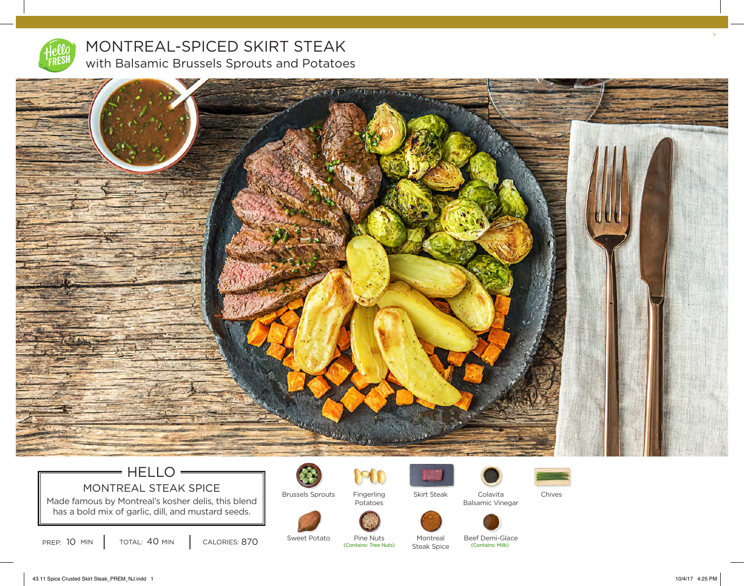

MONTREAL-SPICED SKIRT STEAK with Balsamic Brussels Sprouts and Potatoes



## $=$  HELLO  $=$ MONTREAL STEAK SPICE

Made famous by Montreal's kosher delis, this blend has a bold mix of garlic, dill, and mustard seeds.





Potatoes

Fingerling



Montreal

Beef Demi-Glace<br>(Contains: Milk)

Colavita Balsamic Vinegar

Skirt Steak Colavita Chives

PREP: 10 MIN | TOTAL: 40 MIN | CALORIES: 870 SWEEL POLALO PITIE NULS | MOTILIFE | MOTHE | DEEL DETITE OR<br>Contains: Tree Nuts) Steak Spice (Contains: Milk)

Sweet Potato

Pine Nuts<br>(Contains: Tree Nuts) Steak Spice 11